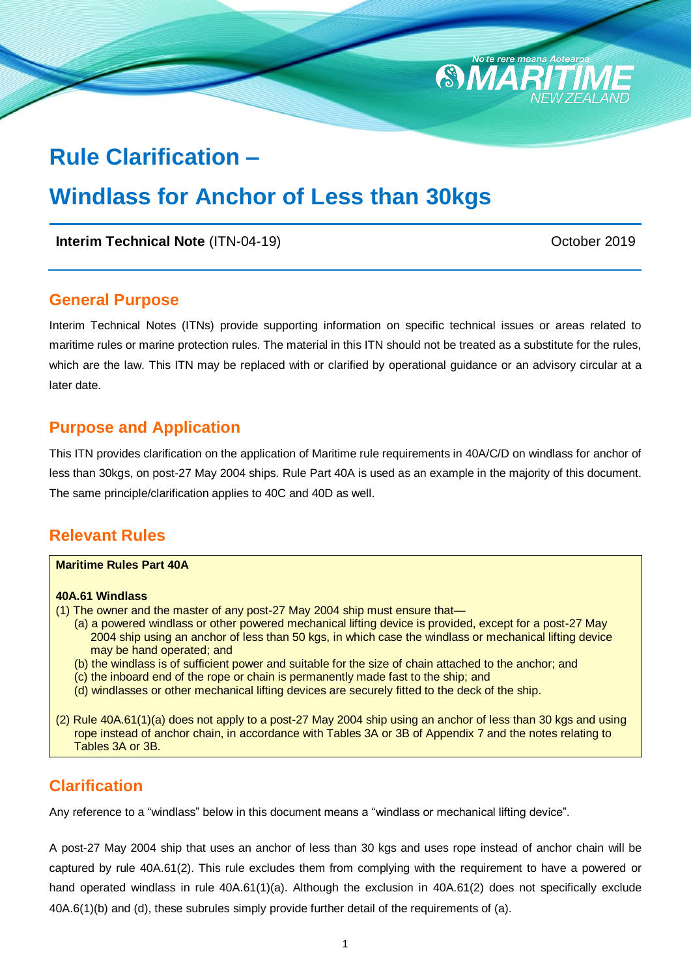# **Rule Clarification –**

# **Windlass for Anchor of Less than 30kgs**

**Interim Technical Note** (ITN-04-19) **CHOOSE 2019** October 2019

#### **General Purpose**

Interim Technical Notes (ITNs) provide supporting information on specific technical issues or areas related to maritime rules or marine protection rules. The material in this ITN should not be treated as a substitute for the rules, which are the law. This ITN may be replaced with or clarified by operational guidance or an advisory circular at a later date.

 $\mathcal{E}$ 

**ПЛА** 

#### **Purpose and Application**

This ITN provides clarification on the application of Maritime rule requirements in 40A/C/D on windlass for anchor of less than 30kgs, on post-27 May 2004 ships. Rule Part 40A is used as an example in the majority of this document. The same principle/clarification applies to 40C and 40D as well.

#### **Relevant Rules**

| <b>Maritime Rules Part 40A</b>                                                                                                                                                                                                                 |
|------------------------------------------------------------------------------------------------------------------------------------------------------------------------------------------------------------------------------------------------|
| 40A.61 Windlass                                                                                                                                                                                                                                |
| (1) The owner and the master of any post-27 May 2004 ship must ensure that—                                                                                                                                                                    |
| (a) a powered windlass or other powered mechanical lifting device is provided, except for a post-27 May<br>2004 ship using an anchor of less than 50 kgs, in which case the windlass or mechanical lifting device<br>may be hand operated; and |
| (b) the windlass is of sufficient power and suitable for the size of chain attached to the anchor; and<br>(c) the inboard end of the rope or chain is permanently made fast to the ship; and                                                   |
| (d) windlasses or other mechanical lifting devices are securely fitted to the deck of the ship.                                                                                                                                                |
| (2) Rule 40A.61(1)(a) does not apply to a post-27 May 2004 ship using an anchor of less than 30 kgs and using<br>rope instead of anchor chain, in accordance with Tables 3A or 3B of Appendix 7 and the notes relating to<br>Tables 3A or 3B.  |

### **Clarification**

Any reference to a "windlass" below in this document means a "windlass or mechanical lifting device".

A post-27 May 2004 ship that uses an anchor of less than 30 kgs and uses rope instead of anchor chain will be captured by rule 40A.61(2). This rule excludes them from complying with the requirement to have a powered or hand operated windlass in rule 40A.61(1)(a). Although the exclusion in 40A.61(2) does not specifically exclude 40A.6(1)(b) and (d), these subrules simply provide further detail of the requirements of (a).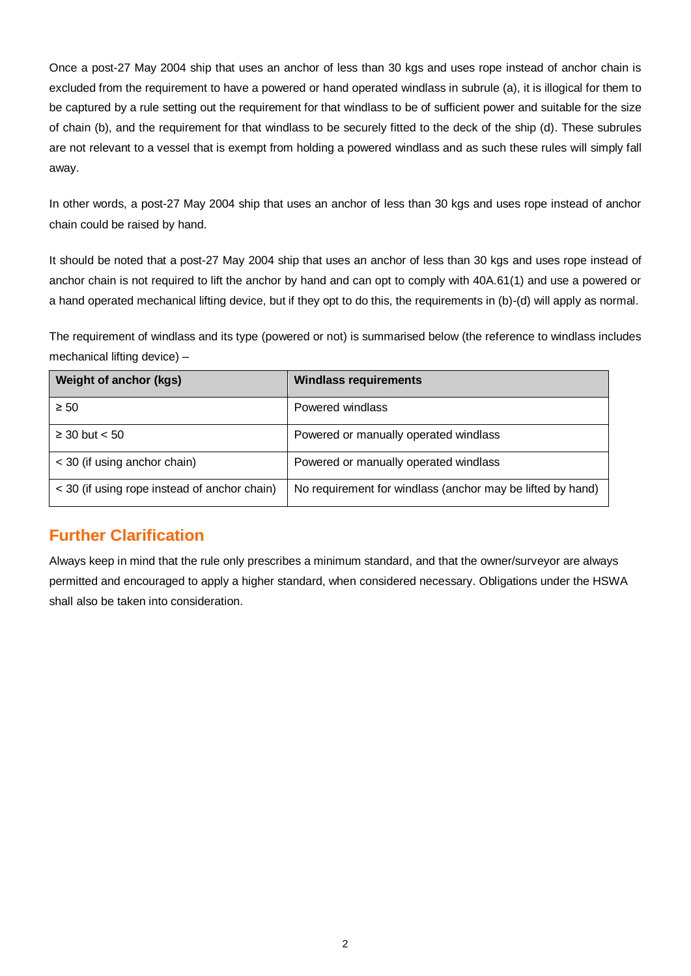Once a post-27 May 2004 ship that uses an anchor of less than 30 kgs and uses rope instead of anchor chain is excluded from the requirement to have a powered or hand operated windlass in subrule (a), it is illogical for them to be captured by a rule setting out the requirement for that windlass to be of sufficient power and suitable for the size of chain (b), and the requirement for that windlass to be securely fitted to the deck of the ship (d). These subrules are not relevant to a vessel that is exempt from holding a powered windlass and as such these rules will simply fall away.

In other words, a post-27 May 2004 ship that uses an anchor of less than 30 kgs and uses rope instead of anchor chain could be raised by hand.

It should be noted that a post-27 May 2004 ship that uses an anchor of less than 30 kgs and uses rope instead of anchor chain is not required to lift the anchor by hand and can opt to comply with 40A.61(1) and use a powered or a hand operated mechanical lifting device, but if they opt to do this, the requirements in (b)-(d) will apply as normal.

The requirement of windlass and its type (powered or not) is summarised below (the reference to windlass includes mechanical lifting device) –

| <b>Weight of anchor (kgs)</b>                | <b>Windlass requirements</b>                               |
|----------------------------------------------|------------------------------------------------------------|
| $\geq 50$                                    | Powered windlass                                           |
| $\geq$ 30 but $<$ 50                         | Powered or manually operated windlass                      |
| < 30 (if using anchor chain)                 | Powered or manually operated windlass                      |
| < 30 (if using rope instead of anchor chain) | No requirement for windlass (anchor may be lifted by hand) |

### **Further Clarification**

Always keep in mind that the rule only prescribes a minimum standard, and that the owner/surveyor are always permitted and encouraged to apply a higher standard, when considered necessary. Obligations under the HSWA shall also be taken into consideration.